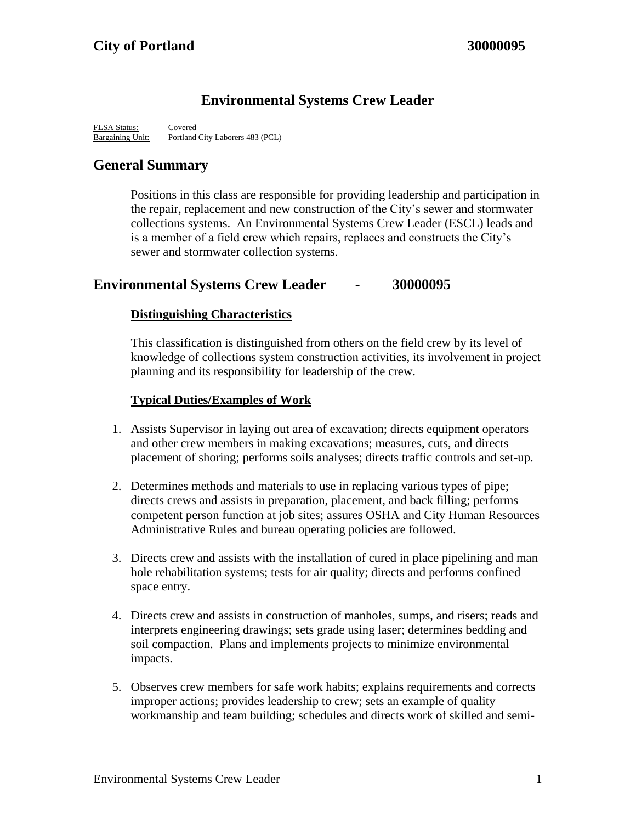# **Environmental Systems Crew Leader**

FLSA Status: Covered Bargaining Unit: Portland City Laborers 483 (PCL)

# **General Summary**

Positions in this class are responsible for providing leadership and participation in the repair, replacement and new construction of the City's sewer and stormwater collections systems. An Environmental Systems Crew Leader (ESCL) leads and is a member of a field crew which repairs, replaces and constructs the City's sewer and stormwater collection systems.

## **Environmental Systems Crew Leader - 30000095**

### **Distinguishing Characteristics**

This classification is distinguished from others on the field crew by its level of knowledge of collections system construction activities, its involvement in project planning and its responsibility for leadership of the crew.

### **Typical Duties/Examples of Work**

- 1. Assists Supervisor in laying out area of excavation; directs equipment operators and other crew members in making excavations; measures, cuts, and directs placement of shoring; performs soils analyses; directs traffic controls and set-up.
- 2. Determines methods and materials to use in replacing various types of pipe; directs crews and assists in preparation, placement, and back filling; performs competent person function at job sites; assures OSHA and City Human Resources Administrative Rules and bureau operating policies are followed.
- 3. Directs crew and assists with the installation of cured in place pipelining and man hole rehabilitation systems; tests for air quality; directs and performs confined space entry.
- 4. Directs crew and assists in construction of manholes, sumps, and risers; reads and interprets engineering drawings; sets grade using laser; determines bedding and soil compaction. Plans and implements projects to minimize environmental impacts.
- 5. Observes crew members for safe work habits; explains requirements and corrects improper actions; provides leadership to crew; sets an example of quality workmanship and team building; schedules and directs work of skilled and semi-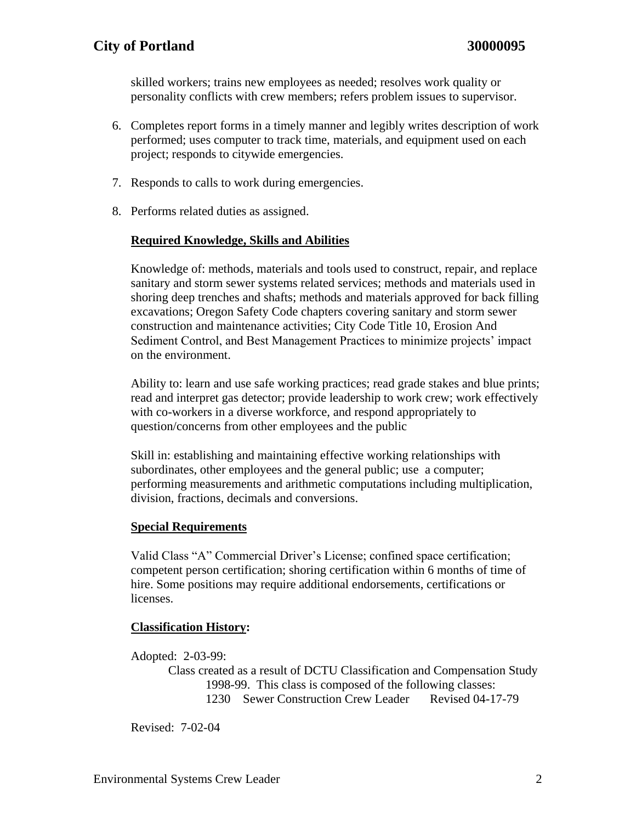skilled workers; trains new employees as needed; resolves work quality or personality conflicts with crew members; refers problem issues to supervisor.

- 6. Completes report forms in a timely manner and legibly writes description of work performed; uses computer to track time, materials, and equipment used on each project; responds to citywide emergencies.
- 7. Responds to calls to work during emergencies.
- 8. Performs related duties as assigned.

#### **Required Knowledge, Skills and Abilities**

Knowledge of: methods, materials and tools used to construct, repair, and replace sanitary and storm sewer systems related services; methods and materials used in shoring deep trenches and shafts; methods and materials approved for back filling excavations; Oregon Safety Code chapters covering sanitary and storm sewer construction and maintenance activities; City Code Title 10, Erosion And Sediment Control, and Best Management Practices to minimize projects' impact on the environment.

Ability to: learn and use safe working practices; read grade stakes and blue prints; read and interpret gas detector; provide leadership to work crew; work effectively with co-workers in a diverse workforce, and respond appropriately to question/concerns from other employees and the public

Skill in: establishing and maintaining effective working relationships with subordinates, other employees and the general public; use a computer; performing measurements and arithmetic computations including multiplication, division, fractions, decimals and conversions.

#### **Special Requirements**

Valid Class "A" Commercial Driver's License; confined space certification; competent person certification; shoring certification within 6 months of time of hire. Some positions may require additional endorsements, certifications or licenses.

#### **Classification History:**

Adopted: 2-03-99:

Class created as a result of DCTU Classification and Compensation Study 1998-99. This class is composed of the following classes: 1230 Sewer Construction Crew Leader Revised 04-17-79

Revised: 7-02-04